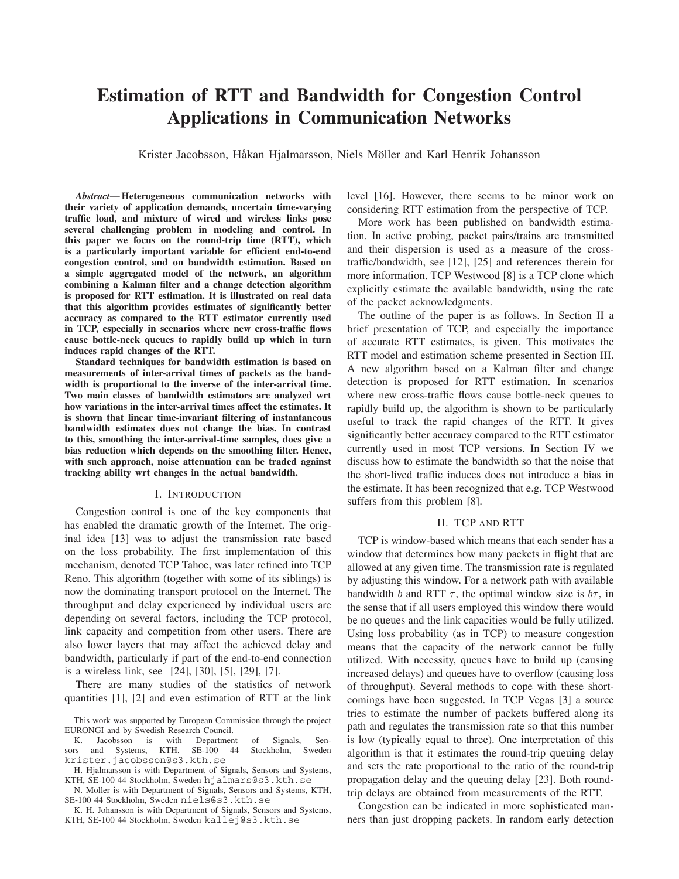# **Estimation of RTT and Bandwidth for Congestion Control Applications in Communication Networks**

Krister Jacobsson, Håkan Hjalmarsson, Niels Möller and Karl Henrik Johansson

*Abstract***— Heterogeneous communication networks with their variety of application demands, uncertain time-varying traffic load, and mixture of wired and wireless links pose several challenging problem in modeling and control. In this paper we focus on the round-trip time (RTT), which is a particularly important variable for efficient end-to-end congestion control, and on bandwidth estimation. Based on a simple aggregated model of the network, an algorithm combining a Kalman filter and a change detection algorithm is proposed for RTT estimation. It is illustrated on real data that this algorithm provides estimates of significantly better accuracy as compared to the RTT estimator currently used in TCP, especially in scenarios where new cross-traffic flows cause bottle-neck queues to rapidly build up which in turn induces rapid changes of the RTT.**

**Standard techniques for bandwidth estimation is based on measurements of inter-arrival times of packets as the bandwidth is proportional to the inverse of the inter-arrival time. Two main classes of bandwidth estimators are analyzed wrt how variations in the inter-arrival times affect the estimates. It is shown that linear time-invariant filtering of instantaneous bandwidth estimates does not change the bias. In contrast to this, smoothing the inter-arrival-time samples, does give a bias reduction which depends on the smoothing filter. Hence, with such approach, noise attenuation can be traded against tracking ability wrt changes in the actual bandwidth.**

## I. INTRODUCTION

Congestion control is one of the key components that has enabled the dramatic growth of the Internet. The original idea [13] was to adjust the transmission rate based on the loss probability. The first implementation of this mechanism, denoted TCP Tahoe, was later refined into TCP Reno. This algorithm (together with some of its siblings) is now the dominating transport protocol on the Internet. The throughput and delay experienced by individual users are depending on several factors, including the TCP protocol, link capacity and competition from other users. There are also lower layers that may affect the achieved delay and bandwidth, particularly if part of the end-to-end connection is a wireless link, see [24], [30], [5], [29], [7].

There are many studies of the statistics of network quantities [1], [2] and even estimation of RTT at the link

N. Möller is with Department of Signals, Sensors and Systems, KTH, SE-100 44 Stockholm, Sweden niels@s3.kth.se

K. H. Johansson is with Department of Signals, Sensors and Systems, KTH, SE-100 44 Stockholm, Sweden kallej@s3.kth.se

level [16]. However, there seems to be minor work on considering RTT estimation from the perspective of TCP.

More work has been published on bandwidth estimation. In active probing, packet pairs/trains are transmitted and their dispersion is used as a measure of the crosstraffic/bandwidth, see [12], [25] and references therein for more information. TCP Westwood [8] is a TCP clone which explicitly estimate the available bandwidth, using the rate of the packet acknowledgments.

The outline of the paper is as follows. In Section II a brief presentation of TCP, and especially the importance of accurate RTT estimates, is given. This motivates the RTT model and estimation scheme presented in Section III. A new algorithm based on a Kalman filter and change detection is proposed for RTT estimation. In scenarios where new cross-traffic flows cause bottle-neck queues to rapidly build up, the algorithm is shown to be particularly useful to track the rapid changes of the RTT. It gives significantly better accuracy compared to the RTT estimator currently used in most TCP versions. In Section IV we discuss how to estimate the bandwidth so that the noise that the short-lived traffic induces does not introduce a bias in the estimate. It has been recognized that e.g. TCP Westwood suffers from this problem [8].

# II. TCP AND RTT

TCP is window-based which means that each sender has a window that determines how many packets in flight that are allowed at any given time. The transmission rate is regulated by adjusting this window. For a network path with available bandwidth b and RTT  $\tau$ , the optimal window size is  $b\tau$ , in the sense that if all users employed this window there would be no queues and the link capacities would be fully utilized. Using loss probability (as in TCP) to measure congestion means that the capacity of the network cannot be fully utilized. With necessity, queues have to build up (causing increased delays) and queues have to overflow (causing loss of throughput). Several methods to cope with these shortcomings have been suggested. In TCP Vegas [3] a source tries to estimate the number of packets buffered along its path and regulates the transmission rate so that this number is low (typically equal to three). One interpretation of this algorithm is that it estimates the round-trip queuing delay and sets the rate proportional to the ratio of the round-trip propagation delay and the queuing delay [23]. Both roundtrip delays are obtained from measurements of the RTT.

Congestion can be indicated in more sophisticated manners than just dropping packets. In random early detection

This work was supported by European Commission through the project EURONGI and by Swedish Research Council.

K. Jacobsson is with Department of Signals, Sen-<br>rs and Systems, KTH, SE-100 44 Stockholm, Sweden sors and Systems, KTH, SE-100 44 Stockholm, Sweden krister.jacobsson@s3.kth.se

H. Hjalmarsson is with Department of Signals, Sensors and Systems, KTH, SE-100 44 Stockholm, Sweden hjalmars@s3.kth.se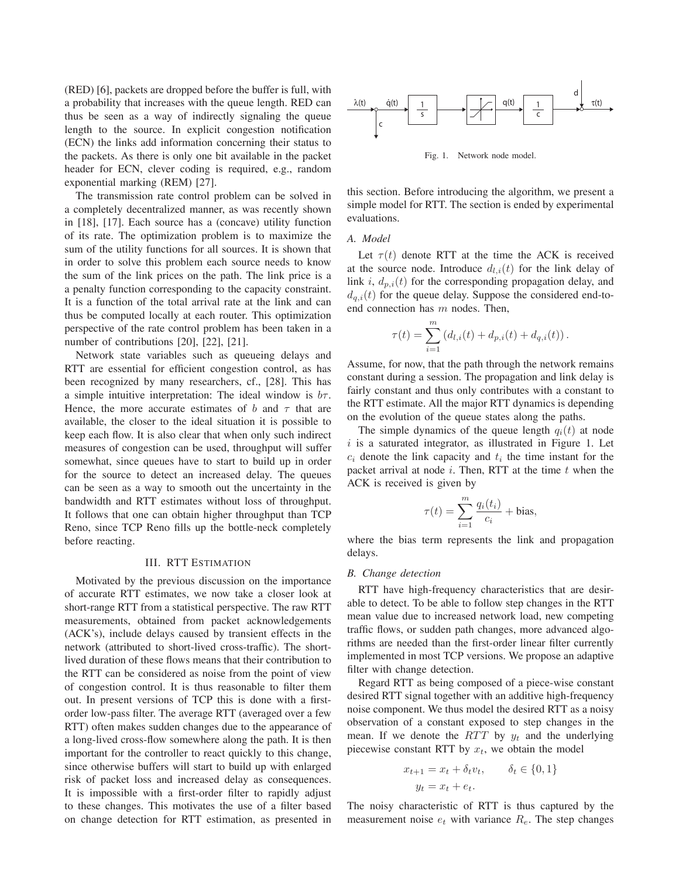(RED) [6], packets are dropped before the buffer is full, with a probability that increases with the queue length. RED can thus be seen as a way of indirectly signaling the queue length to the source. In explicit congestion notification (ECN) the links add information concerning their status to the packets. As there is only one bit available in the packet header for ECN, clever coding is required, e.g., random exponential marking (REM) [27].

The transmission rate control problem can be solved in a completely decentralized manner, as was recently shown in [18], [17]. Each source has a (concave) utility function of its rate. The optimization problem is to maximize the sum of the utility functions for all sources. It is shown that in order to solve this problem each source needs to know the sum of the link prices on the path. The link price is a a penalty function corresponding to the capacity constraint. It is a function of the total arrival rate at the link and can thus be computed locally at each router. This optimization perspective of the rate control problem has been taken in a number of contributions [20], [22], [21].

Network state variables such as queueing delays and RTT are essential for efficient congestion control, as has been recognized by many researchers, cf., [28]. This has a simple intuitive interpretation: The ideal window is  $b\tau$ . Hence, the more accurate estimates of b and  $\tau$  that are available, the closer to the ideal situation it is possible to keep each flow. It is also clear that when only such indirect measures of congestion can be used, throughput will suffer somewhat, since queues have to start to build up in order for the source to detect an increased delay. The queues can be seen as a way to smooth out the uncertainty in the bandwidth and RTT estimates without loss of throughput. It follows that one can obtain higher throughput than TCP Reno, since TCP Reno fills up the bottle-neck completely before reacting.

# III. RTT ESTIMATION

Motivated by the previous discussion on the importance of accurate RTT estimates, we now take a closer look at short-range RTT from a statistical perspective. The raw RTT measurements, obtained from packet acknowledgements (ACK's), include delays caused by transient effects in the network (attributed to short-lived cross-traffic). The shortlived duration of these flows means that their contribution to the RTT can be considered as noise from the point of view of congestion control. It is thus reasonable to filter them out. In present versions of TCP this is done with a firstorder low-pass filter. The average RTT (averaged over a few RTT) often makes sudden changes due to the appearance of a long-lived cross-flow somewhere along the path. It is then important for the controller to react quickly to this change, since otherwise buffers will start to build up with enlarged risk of packet loss and increased delay as consequences. It is impossible with a first-order filter to rapidly adjust to these changes. This motivates the use of a filter based on change detection for RTT estimation, as presented in



Fig. 1. Network node model.

this section. Before introducing the algorithm, we present a simple model for RTT. The section is ended by experimental evaluations.

## *A. Model*

Let  $\tau(t)$  denote RTT at the time the ACK is received at the source node. Introduce  $d_{l,i}(t)$  for the link delay of link i,  $d_{p,i}(t)$  for the corresponding propagation delay, and  $d_{q,i}(t)$  for the queue delay. Suppose the considered end-toend connection has  $m$  nodes. Then,

$$
\tau(t) = \sum_{i=1}^{m} (d_{l,i}(t) + d_{p,i}(t) + d_{q,i}(t)).
$$

Assume, for now, that the path through the network remains constant during a session. The propagation and link delay is fairly constant and thus only contributes with a constant to the RTT estimate. All the major RTT dynamics is depending on the evolution of the queue states along the paths.

The simple dynamics of the queue length  $q_i(t)$  at node  $i$  is a saturated integrator, as illustrated in Figure 1. Let  $c_i$  denote the link capacity and  $t_i$  the time instant for the packet arrival at node  $i$ . Then, RTT at the time  $t$  when the ACK is received is given by

$$
\tau(t) = \sum_{i=1}^{m} \frac{q_i(t_i)}{c_i} + \text{bias},
$$

where the bias term represents the link and propagation delays.

## *B. Change detection*

RTT have high-frequency characteristics that are desirable to detect. To be able to follow step changes in the RTT mean value due to increased network load, new competing traffic flows, or sudden path changes, more advanced algorithms are needed than the first-order linear filter currently implemented in most TCP versions. We propose an adaptive filter with change detection.

Regard RTT as being composed of a piece-wise constant desired RTT signal together with an additive high-frequency noise component. We thus model the desired RTT as a noisy observation of a constant exposed to step changes in the mean. If we denote the RTT by  $y_t$  and the underlying piecewise constant RTT by  $x_t$ , we obtain the model

$$
x_{t+1} = x_t + \delta_t v_t, \qquad \delta_t \in \{0, 1\}
$$

$$
y_t = x_t + e_t.
$$

The noisy characteristic of RTT is thus captured by the measurement noise  $e_t$  with variance  $R_e$ . The step changes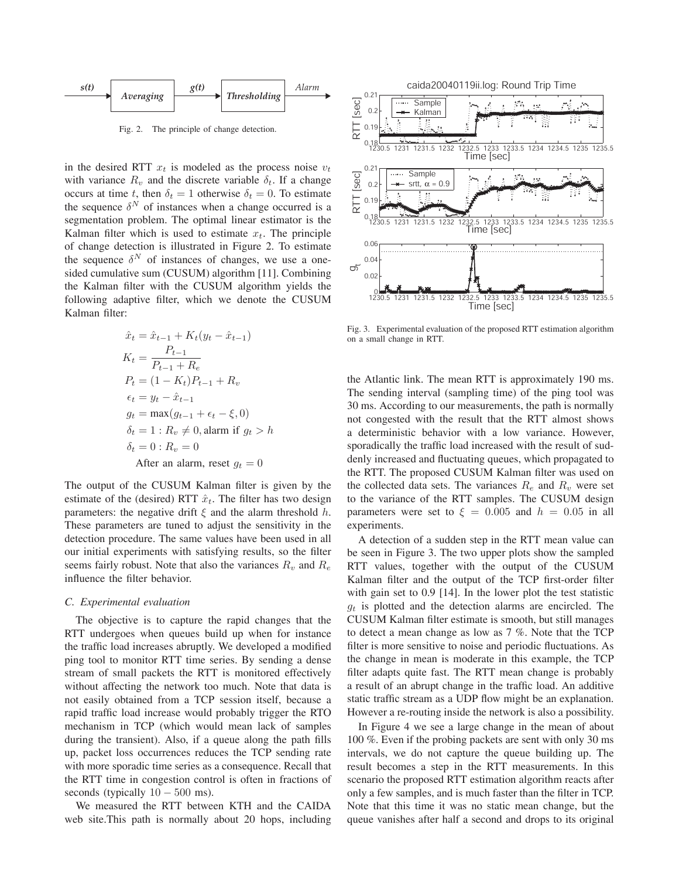

Fig. 2. The principle of change detection.

in the desired RTT  $x_t$  is modeled as the process noise  $v_t$ with variance  $R_v$  and the discrete variable  $\delta_t$ . If a change occurs at time t, then  $\delta_t = 1$  otherwise  $\delta_t = 0$ . To estimate the sequence  $\delta^N$  of instances when a change occurred is a segmentation problem. The optimal linear estimator is the Kalman filter which is used to estimate  $x_t$ . The principle of change detection is illustrated in Figure 2. To estimate the sequence  $\delta^N$  of instances of changes, we use a onesided cumulative sum (CUSUM) algorithm [11]. Combining the Kalman filter with the CUSUM algorithm yields the following adaptive filter, which we denote the CUSUM Kalman filter:

$$
\hat{x}_t = \hat{x}_{t-1} + K_t(y_t - \hat{x}_{t-1})
$$
\n
$$
K_t = \frac{P_{t-1}}{P_{t-1} + R_e}
$$
\n
$$
P_t = (1 - K_t)P_{t-1} + R_v
$$
\n
$$
\epsilon_t = y_t - \hat{x}_{t-1}
$$
\n
$$
g_t = \max(g_{t-1} + \epsilon_t - \xi, 0)
$$
\n
$$
\delta_t = 1 : R_v \neq 0, \text{alarm if } g_t > h
$$
\n
$$
\delta_t = 0 : R_v = 0
$$
\nAfter an alarm, reset  $g_t = 0$ 

The output of the CUSUM Kalman filter is given by the estimate of the (desired) RTT  $\hat{x}_t$ . The filter has two design parameters: the negative drift  $\xi$  and the alarm threshold h. These parameters are tuned to adjust the sensitivity in the detection procedure. The same values have been used in all our initial experiments with satisfying results, so the filter seems fairly robust. Note that also the variances  $R_v$  and  $R_e$ influence the filter behavior.

# *C. Experimental evaluation*

The objective is to capture the rapid changes that the RTT undergoes when queues build up when for instance the traffic load increases abruptly. We developed a modified ping tool to monitor RTT time series. By sending a dense stream of small packets the RTT is monitored effectively without affecting the network too much. Note that data is not easily obtained from a TCP session itself, because a rapid traffic load increase would probably trigger the RTO mechanism in TCP (which would mean lack of samples during the transient). Also, if a queue along the path fills up, packet loss occurrences reduces the TCP sending rate with more sporadic time series as a consequence. Recall that the RTT time in congestion control is often in fractions of seconds (typically  $10 - 500$  ms).

We measured the RTT between KTH and the CAIDA web site.This path is normally about 20 hops, including



Fig. 3. Experimental evaluation of the proposed RTT estimation algorithm on a small change in RTT.

the Atlantic link. The mean RTT is approximately 190 ms. The sending interval (sampling time) of the ping tool was 30 ms. According to our measurements, the path is normally not congested with the result that the RTT almost shows a deterministic behavior with a low variance. However, sporadically the traffic load increased with the result of suddenly increased and fluctuating queues, which propagated to the RTT. The proposed CUSUM Kalman filter was used on the collected data sets. The variances  $R_e$  and  $R_v$  were set to the variance of the RTT samples. The CUSUM design parameters were set to  $\xi = 0.005$  and  $h = 0.05$  in all experiments.

A detection of a sudden step in the RTT mean value can be seen in Figure 3. The two upper plots show the sampled RTT values, together with the output of the CUSUM Kalman filter and the output of the TCP first-order filter with gain set to 0.9 [14]. In the lower plot the test statistic  $g_t$  is plotted and the detection alarms are encircled. The CUSUM Kalman filter estimate is smooth, but still manages to detect a mean change as low as 7 %. Note that the TCP filter is more sensitive to noise and periodic fluctuations. As the change in mean is moderate in this example, the TCP filter adapts quite fast. The RTT mean change is probably a result of an abrupt change in the traffic load. An additive static traffic stream as a UDP flow might be an explanation. However a re-routing inside the network is also a possibility.

In Figure 4 we see a large change in the mean of about 100 %. Even if the probing packets are sent with only 30 ms intervals, we do not capture the queue building up. The result becomes a step in the RTT measurements. In this scenario the proposed RTT estimation algorithm reacts after only a few samples, and is much faster than the filter in TCP. Note that this time it was no static mean change, but the queue vanishes after half a second and drops to its original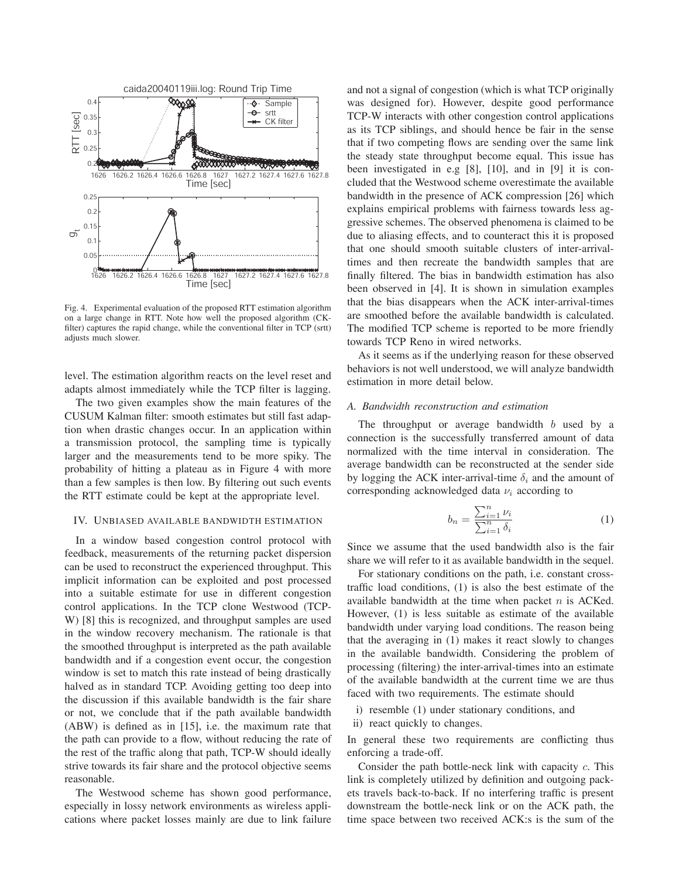

Fig. 4. Experimental evaluation of the proposed RTT estimation algorithm on a large change in RTT. Note how well the proposed algorithm (CKfilter) captures the rapid change, while the conventional filter in TCP (srtt) adjusts much slower.

level. The estimation algorithm reacts on the level reset and adapts almost immediately while the TCP filter is lagging.

The two given examples show the main features of the CUSUM Kalman filter: smooth estimates but still fast adaption when drastic changes occur. In an application within a transmission protocol, the sampling time is typically larger and the measurements tend to be more spiky. The probability of hitting a plateau as in Figure 4 with more than a few samples is then low. By filtering out such events the RTT estimate could be kept at the appropriate level.

#### IV. UNBIASED AVAILABLE BANDWIDTH ESTIMATION

In a window based congestion control protocol with feedback, measurements of the returning packet dispersion can be used to reconstruct the experienced throughput. This implicit information can be exploited and post processed into a suitable estimate for use in different congestion control applications. In the TCP clone Westwood (TCP-W) [8] this is recognized, and throughput samples are used in the window recovery mechanism. The rationale is that the smoothed throughput is interpreted as the path available bandwidth and if a congestion event occur, the congestion window is set to match this rate instead of being drastically halved as in standard TCP. Avoiding getting too deep into the discussion if this available bandwidth is the fair share or not, we conclude that if the path available bandwidth (ABW) is defined as in [15], i.e. the maximum rate that the path can provide to a flow, without reducing the rate of the rest of the traffic along that path, TCP-W should ideally strive towards its fair share and the protocol objective seems reasonable.

The Westwood scheme has shown good performance, especially in lossy network environments as wireless applications where packet losses mainly are due to link failure and not a signal of congestion (which is what TCP originally was designed for). However, despite good performance TCP-W interacts with other congestion control applications as its TCP siblings, and should hence be fair in the sense that if two competing flows are sending over the same link the steady state throughput become equal. This issue has been investigated in e.g [8], [10], and in [9] it is concluded that the Westwood scheme overestimate the available bandwidth in the presence of ACK compression [26] which explains empirical problems with fairness towards less aggressive schemes. The observed phenomena is claimed to be due to aliasing effects, and to counteract this it is proposed that one should smooth suitable clusters of inter-arrivaltimes and then recreate the bandwidth samples that are finally filtered. The bias in bandwidth estimation has also been observed in [4]. It is shown in simulation examples that the bias disappears when the ACK inter-arrival-times are smoothed before the available bandwidth is calculated. The modified TCP scheme is reported to be more friendly towards TCP Reno in wired networks.

As it seems as if the underlying reason for these observed behaviors is not well understood, we will analyze bandwidth estimation in more detail below.

## *A. Bandwidth reconstruction and estimation*

The throughput or average bandwidth  $b$  used by a connection is the successfully transferred amount of data normalized with the time interval in consideration. The average bandwidth can be reconstructed at the sender side by logging the ACK inter-arrival-time  $\delta_i$  and the amount of corresponding acknowledged data  $\nu_i$  according to

$$
b_n = \frac{\sum_{i=1}^n \nu_i}{\sum_{i=1}^n \delta_i} \tag{1}
$$

Since we assume that the used bandwidth also is the fair share we will refer to it as available bandwidth in the sequel.

For stationary conditions on the path, i.e. constant crosstraffic load conditions, (1) is also the best estimate of the available bandwidth at the time when packet  $n$  is ACKed. However, (1) is less suitable as estimate of the available bandwidth under varying load conditions. The reason being that the averaging in (1) makes it react slowly to changes in the available bandwidth. Considering the problem of processing (filtering) the inter-arrival-times into an estimate of the available bandwidth at the current time we are thus faced with two requirements. The estimate should

- i) resemble (1) under stationary conditions, and
- ii) react quickly to changes.

In general these two requirements are conflicting thus enforcing a trade-off.

Consider the path bottle-neck link with capacity c. This link is completely utilized by definition and outgoing packets travels back-to-back. If no interfering traffic is present downstream the bottle-neck link or on the ACK path, the time space between two received ACK:s is the sum of the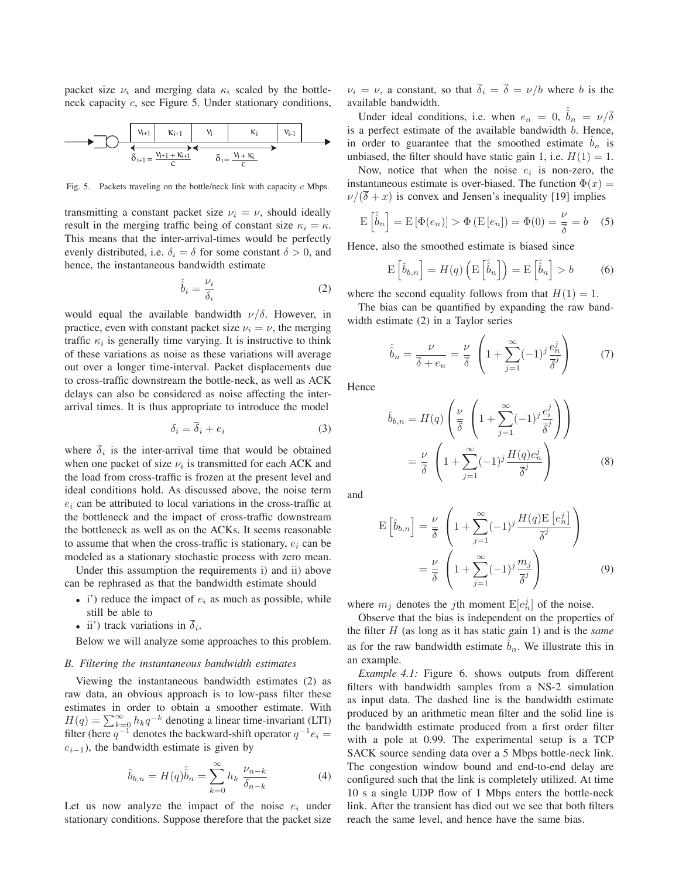packet size  $\nu_i$  and merging data  $\kappa_i$  scaled by the bottleneck capacity c, see Figure 5. Under stationary conditions,

$$
\begin{array}{c|c|c|c|c|c} \hline & v_{i+1} & v_i & v_i & v_{i-1} \\ \hline & & & & & v_{i-1} \\ \hline & & & & & & \delta_{i+1} = \frac{v_{i+1} + \kappa_{i+1}}{C} & \delta_i = \frac{v_i + \kappa_i}{C} \\ \hline \end{array}
$$

Fig. 5. Packets traveling on the bottle/neck link with capacity *c* Mbps.

transmitting a constant packet size  $\nu_i = \nu$ , should ideally result in the merging traffic being of constant size  $\kappa_i = \kappa$ . This means that the inter-arrival-times would be perfectly evenly distributed, i.e.  $\delta_i = \delta$  for some constant  $\delta > 0$ , and hence, the instantaneous bandwidth estimate

$$
\hat{\hat{b}}_i = \frac{\nu_i}{\delta_i} \tag{2}
$$

would equal the available bandwidth  $\nu/\delta$ . However, in practice, even with constant packet size  $\nu_i = \nu$ , the merging traffic  $\kappa_i$  is generally time varying. It is instructive to think of these variations as noise as these variations will average out over a longer time-interval. Packet displacements due to cross-traffic downstream the bottle-neck, as well as ACK delays can also be considered as noise affecting the interarrival times. It is thus appropriate to introduce the model

$$
\delta_i = \overline{\delta}_i + e_i \tag{3}
$$

where  $\overline{\delta}_i$  is the inter-arrival time that would be obtained when one packet of size  $\nu_i$  is transmitted for each ACK and the load from cross-traffic is frozen at the present level and ideal conditions hold. As discussed above, the noise term  $e_i$  can be attributed to local variations in the cross-traffic at the bottleneck and the impact of cross-traffic downstream the bottleneck as well as on the ACKs. It seems reasonable to assume that when the cross-traffic is stationary,  $e_i$  can be modeled as a stationary stochastic process with zero mean.

Under this assumption the requirements i) and ii) above can be rephrased as that the bandwidth estimate should

- i') reduce the impact of  $e_i$  as much as possible, while still be able to
- ii') track variations in  $\overline{\delta}_i$ .

Below we will analyze some approaches to this problem.

#### *B. Filtering the instantaneous bandwidth estimates*

Viewing the instantaneous bandwidth estimates (2) as raw data, an obvious approach is to low-pass filter these estimates in order to obtain a smoother estimate. With  $H(q) = \sum_{k=0}^{\infty} h_k q^{-k}$  denoting a linear time-invariant (LTI) filter (here  $q^{-1}$  denotes the backward-shift operator  $q^{-1}e_i$  =  $e_{i-1}$ ), the bandwidth estimate is given by

$$
\hat{b}_{b,n} = H(q)\hat{b}_n = \sum_{k=0}^{\infty} h_k \frac{\nu_{n-k}}{\delta_{n-k}}
$$
\n(4)

Let us now analyze the impact of the noise  $e_i$  under stationary conditions. Suppose therefore that the packet size

 $\nu_i = \nu$ , a constant, so that  $\overline{\delta}_i = \overline{\delta} = \nu/b$  where b is the available bandwidth.

Under ideal conditions, i.e. when  $e_n = 0$ ,  $\hat{b}_n = \nu/\overline{\delta}$ is a perfect estimate of the available bandwidth b. Hence, in order to guarantee that the smoothed estimate  $b_n$  is unbiased, the filter should have static gain 1, i.e.  $H(1) = 1$ .

Now, notice that when the noise  $e_i$  is non-zero, the instantaneous estimate is over-biased. The function  $\Phi(x)$  =  $\nu/(\delta + x)$  is convex and Jensen's inequality [19] implies

$$
\mathcal{E}\left[\hat{b}_n\right] = \mathcal{E}\left[\Phi(e_n)\right] > \Phi\left(\mathcal{E}\left[e_n\right]\right) = \Phi(0) = \frac{\nu}{\delta} = b \quad (5)
$$

Hence, also the smoothed estimate is biased since

$$
\mathcal{E}\left[\hat{b}_{b,n}\right] = H(q)\left(\mathcal{E}\left[\hat{b}_{n}\right]\right) = \mathcal{E}\left[\hat{b}_{n}\right] > b \tag{6}
$$

where the second equality follows from that  $H(1) = 1$ .

The bias can be quantified by expanding the raw bandwidth estimate (2) in a Taylor series

$$
\hat{b}_n = \frac{\nu}{\overline{\delta} + e_n} = \frac{\nu}{\overline{\delta}} \left( 1 + \sum_{j=1}^{\infty} (-1)^j \frac{e_n^j}{\overline{\delta}^j} \right) \tag{7}
$$

**Hence** 

$$
\hat{b}_{b,n} = H(q) \left( \frac{\nu}{\overline{\delta}} \left( 1 + \sum_{j=1}^{\infty} (-1)^j \frac{e_i^j}{\overline{\delta}^j} \right) \right)
$$

$$
= \frac{\nu}{\overline{\delta}} \left( 1 + \sum_{j=1}^{\infty} (-1)^j \frac{H(q)e_n^j}{\overline{\delta}^j} \right)
$$
(8)

and

$$
E\left[\hat{b}_{b,n}\right] = \frac{\nu}{\overline{\delta}} \left(1 + \sum_{j=1}^{\infty} (-1)^j \frac{H(q)E\left[e_n^j\right]}{\overline{\delta}^j}\right)
$$

$$
= \frac{\nu}{\overline{\delta}} \left(1 + \sum_{j=1}^{\infty} (-1)^j \frac{m_j}{\overline{\delta}^j}\right)
$$
(9)

where  $m_j$  denotes the *j*th moment  $E[e_n^j]$  of the noise.

Observe that the bias is independent on the properties of the filter H (as long as it has static gain 1) and is the *same* as for the raw bandwidth estimate  $\hat{b}_n$ . We illustrate this in an example.

*Example 4.1:* Figure 6. shows outputs from different filters with bandwidth samples from a NS-2 simulation as input data. The dashed line is the bandwidth estimate produced by an arithmetic mean filter and the solid line is the bandwidth estimate produced from a first order filter with a pole at 0.99. The experimental setup is a TCP SACK source sending data over a 5 Mbps bottle-neck link. The congestion window bound and end-to-end delay are configured such that the link is completely utilized. At time 10 s a single UDP flow of 1 Mbps enters the bottle-neck link. After the transient has died out we see that both filters reach the same level, and hence have the same bias.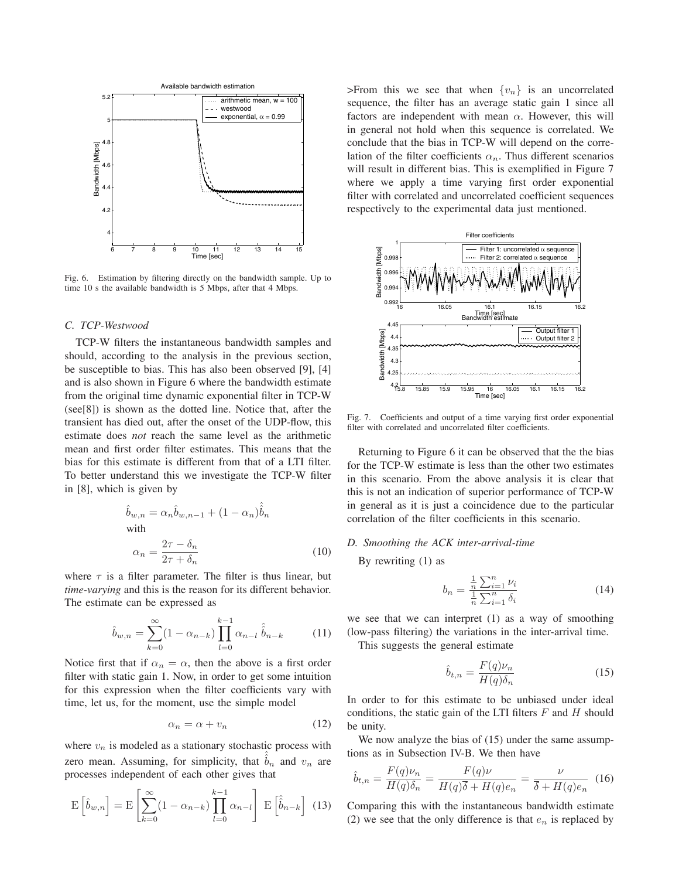

Fig. 6. Estimation by filtering directly on the bandwidth sample. Up to time 10 s the available bandwidth is 5 Mbps, after that 4 Mbps.

## *C. TCP-Westwood*

TCP-W filters the instantaneous bandwidth samples and should, according to the analysis in the previous section, be susceptible to bias. This has also been observed [9], [4] and is also shown in Figure 6 where the bandwidth estimate from the original time dynamic exponential filter in TCP-W (see[8]) is shown as the dotted line. Notice that, after the transient has died out, after the onset of the UDP-flow, this estimate does *not* reach the same level as the arithmetic mean and first order filter estimates. This means that the bias for this estimate is different from that of a LTI filter. To better understand this we investigate the TCP-W filter in [8], which is given by

$$
\hat{b}_{w,n} = \alpha_n \hat{b}_{w,n-1} + (1 - \alpha_n) \hat{b}_n
$$
\nwith\n
$$
\alpha_n = \frac{2\tau - \delta_n}{2\tau + \delta_n}
$$
\n(10)

where  $\tau$  is a filter parameter. The filter is thus linear, but *time-varying* and this is the reason for its different behavior. The estimate can be expressed as

$$
\hat{b}_{w,n} = \sum_{k=0}^{\infty} (1 - \alpha_{n-k}) \prod_{l=0}^{k-1} \alpha_{n-l} \hat{b}_{n-k}
$$
 (11)

Notice first that if  $\alpha_n = \alpha$ , then the above is a first order filter with static gain 1. Now, in order to get some intuition for this expression when the filter coefficients vary with time, let us, for the moment, use the simple model

$$
\alpha_n = \alpha + v_n \tag{12}
$$

where  $v_n$  is modeled as a stationary stochastic process with zero mean. Assuming, for simplicity, that  $b_n$  and  $v_n$  are processes independent of each other gives that

$$
\mathbf{E}\left[\hat{b}_{w,n}\right] = \mathbf{E}\left[\sum_{k=0}^{\infty} (1 - \alpha_{n-k}) \prod_{l=0}^{k-1} \alpha_{n-l}\right] \mathbf{E}\left[\hat{b}_{n-k}\right]
$$
(13)

>From this we see that when  $\{v_n\}$  is an uncorrelated sequence, the filter has an average static gain 1 since all factors are independent with mean  $\alpha$ . However, this will in general not hold when this sequence is correlated. We conclude that the bias in TCP-W will depend on the correlation of the filter coefficients  $\alpha_n$ . Thus different scenarios will result in different bias. This is exemplified in Figure 7 where we apply a time varying first order exponential filter with correlated and uncorrelated coefficient sequences respectively to the experimental data just mentioned.



Fig. 7. Coefficients and output of a time varying first order exponential filter with correlated and uncorrelated filter coefficients.

Returning to Figure 6 it can be observed that the the bias for the TCP-W estimate is less than the other two estimates in this scenario. From the above analysis it is clear that this is not an indication of superior performance of TCP-W in general as it is just a coincidence due to the particular correlation of the filter coefficients in this scenario.

# *D. Smoothing the ACK inter-arrival-time*

By rewriting (1) as

$$
b_n = \frac{\frac{1}{n} \sum_{i=1}^n \nu_i}{\frac{1}{n} \sum_{i=1}^n \delta_i}
$$
 (14)

we see that we can interpret (1) as a way of smoothing (low-pass filtering) the variations in the inter-arrival time.

This suggests the general estimate

$$
\hat{b}_{t,n} = \frac{F(q)\nu_n}{H(q)\delta_n} \tag{15}
$$

In order to for this estimate to be unbiased under ideal conditions, the static gain of the LTI filters  $F$  and  $H$  should be unity.

We now analyze the bias of  $(15)$  under the same assumptions as in Subsection IV-B. We then have

$$
\hat{b}_{t,n} = \frac{F(q)\nu_n}{H(q)\delta_n} = \frac{F(q)\nu}{H(q)\overline{\delta} + H(q)e_n} = \frac{\nu}{\overline{\delta} + H(q)e_n} \tag{16}
$$

Comparing this with the instantaneous bandwidth estimate (2) we see that the only difference is that  $e_n$  is replaced by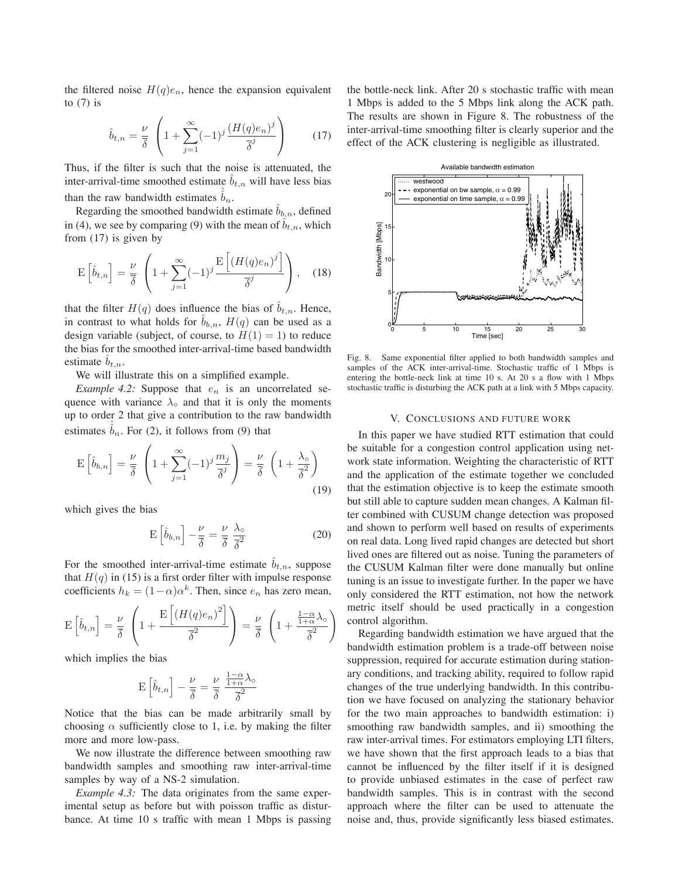the filtered noise  $H(q)e_n$ , hence the expansion equivalent to  $(7)$  is

$$
\hat{b}_{t,n} = \frac{\nu}{\overline{\delta}} \left( 1 + \sum_{j=1}^{\infty} (-1)^j \frac{\left( H(q)e_n \right)^j}{\overline{\delta}^j} \right) \tag{17}
$$

Thus, if the filter is such that the noise is attenuated, the inter-arrival-time smoothed estimate  $b_{t,n}$  will have less bias than the raw bandwidth estimates  $\hat{b}_n$ .

Regarding the smoothed bandwidth estimate  $b_{b,n}$ , defined in (4), we see by comparing (9) with the mean of  $b_{t,n}$ , which from (17) is given by

$$
\mathcal{E}\left[\hat{b}_{t,n}\right] = \frac{\nu}{\overline{\delta}} \left(1 + \sum_{j=1}^{\infty} (-1)^j \frac{\mathcal{E}\left[(H(q)e_n)^j\right]}{\overline{\delta}^j}\right), \quad (18)
$$

that the filter  $H(q)$  does influence the bias of  $b_{t,n}$ . Hence, in contrast to what holds for  $b_{b,n}$ ,  $H(q)$  can be used as a design variable (subject, of course, to  $H(1) = 1$ ) to reduce the bias for the smoothed inter-arrival-time based bandwidth estimate  $b_{t,n}$ .

We will illustrate this on a simplified example.

*Example 4.2:* Suppose that  $e_n$  is an uncorrelated sequence with variance  $\lambda_0$  and that it is only the moments up to order 2 that give a contribution to the raw bandwidth estimates  $\hat{b}_n$ . For (2), it follows from (9) that

$$
\mathcal{E}\left[\hat{b}_{b,n}\right] = \frac{\nu}{\overline{\delta}} \left(1 + \sum_{j=1}^{\infty} (-1)^j \frac{m_j}{\overline{\delta}^j}\right) = \frac{\nu}{\overline{\delta}} \left(1 + \frac{\lambda_{\circ}}{\overline{\delta}^2}\right)
$$
(19)

which gives the bias

$$
E\left[\hat{b}_{b,n}\right] - \frac{\nu}{\overline{\delta}} = \frac{\nu}{\overline{\delta}} \frac{\lambda_o}{\overline{\delta}^2}
$$
 (20)

For the smoothed inter-arrival-time estimate  $b_{t,n}$ , suppose that  $H(q)$  in (15) is a first order filter with impulse response coefficients  $h_k = (1 - \alpha)\alpha^k$ . Then, since  $e_n$  has zero mean,

$$
\mathcal{E}\left[\hat{b}_{t,n}\right] = \frac{\nu}{\overline{\delta}} \left(1 + \frac{\mathcal{E}\left[\left(H(q)e_n\right)^2\right]}{\overline{\delta}^2}\right) = \frac{\nu}{\overline{\delta}} \left(1 + \frac{\frac{1-\alpha}{1+\alpha}\lambda_o}{\overline{\delta}^2}\right)
$$

which implies the bias

$$
\mathrm{E}\left[\widehat{b}_{t,n}\right]-\frac{\nu}{\overline{\delta}}=\frac{\nu}{\overline{\delta}}\;\frac{\frac{1-\alpha}{1+\alpha}\lambda_{\mathrm{o}}}{\overline{\delta}^2}
$$

Notice that the bias can be made arbitrarily small by choosing  $\alpha$  sufficiently close to 1, i.e. by making the filter more and more low-pass.

We now illustrate the difference between smoothing raw bandwidth samples and smoothing raw inter-arrival-time samples by way of a NS-2 simulation.

*Example 4.3:* The data originates from the same experimental setup as before but with poisson traffic as disturbance. At time 10 s traffic with mean 1 Mbps is passing the bottle-neck link. After 20 s stochastic traffic with mean 1 Mbps is added to the 5 Mbps link along the ACK path. The results are shown in Figure 8. The robustness of the inter-arrival-time smoothing filter is clearly superior and the effect of the ACK clustering is negligible as illustrated.



Fig. 8. Same exponential filter applied to both bandwidth samples and samples of the ACK inter-arrival-time. Stochastic traffic of 1 Mbps is entering the bottle-neck link at time 10 s. At 20 s a flow with 1 Mbps stochastic traffic is disturbing the ACK path at a link with 5 Mbps capacity.

#### V. CONCLUSIONS AND FUTURE WORK

In this paper we have studied RTT estimation that could be suitable for a congestion control application using network state information. Weighting the characteristic of RTT and the application of the estimate together we concluded that the estimation objective is to keep the estimate smooth but still able to capture sudden mean changes. A Kalman filter combined with CUSUM change detection was proposed and shown to perform well based on results of experiments on real data. Long lived rapid changes are detected but short lived ones are filtered out as noise. Tuning the parameters of the CUSUM Kalman filter were done manually but online tuning is an issue to investigate further. In the paper we have only considered the RTT estimation, not how the network metric itself should be used practically in a congestion control algorithm.

Regarding bandwidth estimation we have argued that the bandwidth estimation problem is a trade-off between noise suppression, required for accurate estimation during stationary conditions, and tracking ability, required to follow rapid changes of the true underlying bandwidth. In this contribution we have focused on analyzing the stationary behavior for the two main approaches to bandwidth estimation: i) smoothing raw bandwidth samples, and ii) smoothing the raw inter-arrival times. For estimators employing LTI filters, we have shown that the first approach leads to a bias that cannot be influenced by the filter itself if it is designed to provide unbiased estimates in the case of perfect raw bandwidth samples. This is in contrast with the second approach where the filter can be used to attenuate the noise and, thus, provide significantly less biased estimates.